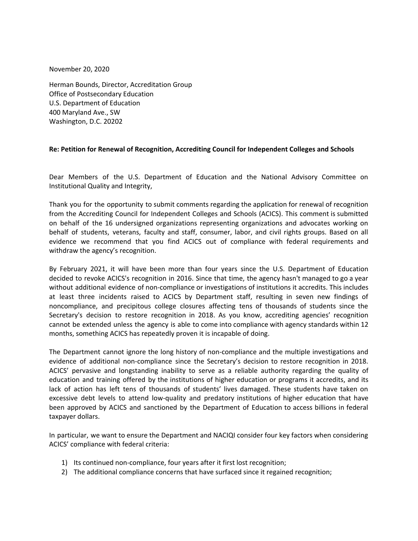November 20, 2020

Herman Bounds, Director, Accreditation Group Office of Postsecondary Education U.S. Department of Education 400 Maryland Ave., SW Washington, D.C. 20202

# **Re: Petition for Renewal of Recognition, Accrediting Council for Independent Colleges and Schools**

Dear Members of the U.S. Department of Education and the National Advisory Committee on Institutional Quality and Integrity,

Thank you for the opportunity to submit comments regarding the application for renewal of recognition from the Accrediting Council for Independent Colleges and Schools (ACICS). This comment is submitted on behalf of the 16 undersigned organizations representing organizations and advocates working on behalf of students, veterans, faculty and staff, consumer, labor, and civil rights groups. Based on all evidence we recommend that you find ACICS out of compliance with federal requirements and withdraw the agency's recognition.

By February 2021, it will have been more than four years since the U.S. Department of Education decided to revoke ACICS's recognition in 2016. Since that time, the agency hasn't managed to go a year without additional evidence of non-compliance or investigations of institutions it accredits. This includes at least three incidents raised to ACICS by Department staff, resulting in seven new findings of noncompliance, and precipitous college closures affecting tens of thousands of students since the Secretary's decision to restore recognition in 2018. As you know, accrediting agencies' recognition cannot be extended unless the agency is able to come into compliance with agency standards within 12 months, something ACICS has repeatedly proven it is incapable of doing.

The Department cannot ignore the long history of non-compliance and the multiple investigations and evidence of additional non-compliance since the Secretary's decision to restore recognition in 2018. ACICS' pervasive and longstanding inability to serve as a reliable authority regarding the quality of education and training offered by the institutions of higher education or programs it accredits, and its lack of action has left tens of thousands of students' lives damaged. These students have taken on excessive debt levels to attend low-quality and predatory institutions of higher education that have been approved by ACICS and sanctioned by the Department of Education to access billions in federal taxpayer dollars.

In particular, we want to ensure the Department and NACIQI consider four key factors when considering ACICS' compliance with federal criteria:

- 1) Its continued non-compliance, four years after it first lost recognition;
- 2) The additional compliance concerns that have surfaced since it regained recognition;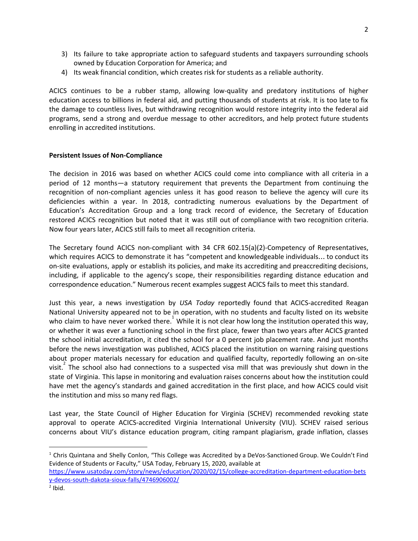- 3) Its failure to take appropriate action to safeguard students and taxpayers surrounding schools owned by Education Corporation for America; and
- 4) Its weak financial condition, which creates risk for students as a reliable authority.

ACICS continues to be a rubber stamp, allowing low-quality and predatory institutions of higher education access to billions in federal aid, and putting thousands of students at risk. It is too late to fix the damage to countless lives, but withdrawing recognition would restore integrity into the federal aid programs, send a strong and overdue message to other accreditors, and help protect future students enrolling in accredited institutions.

## **Persistent Issues of Non-Compliance**

The decision in 2016 was based on whether ACICS could come into compliance with all criteria in a period of 12 months—a statutory requirement that prevents the Department from continuing the recognition of non-compliant agencies unless it has good reason to believe the agency will cure its deficiencies within a year. In 2018, contradicting numerous evaluations by the Department of Education's Accreditation Group and a long track record of evidence, the Secretary of Education restored ACICS recognition but noted that it was still out of compliance with two recognition criteria. Now four years later, ACICS still fails to meet all recognition criteria.

The Secretary found ACICS non-compliant with 34 CFR 602.15(a)(2)-Competency of Representatives, which requires ACICS to demonstrate it has "competent and knowledgeable individuals… to conduct its on-site evaluations, apply or establish its policies, and make its accrediting and preaccrediting decisions, including, if applicable to the agency's scope, their responsibilities regarding distance education and correspondence education." Numerous recent examples suggest ACICS fails to meet this standard.

Just this year, a news investigation by *USA Today* reportedly found that ACICS-accredited Reagan National University appeared not to be in operation, with no students and faculty listed on its website who claim to have never worked there.<sup>1</sup> While it is not clear how long the institution operated this way, or whether it was ever a functioning school in the first place, fewer than two years after ACICS granted the school initial accreditation, it cited the school for a 0 percent job placement rate. And just months before the news investigation was published, ACICS placed the institution on warning raising questions about proper materials necessary for education and qualified faculty, reportedly following an on-site visit.<sup>2</sup> The school also had connections to a suspected visa mill that was previously shut down in the state of Virginia. This lapse in monitoring and evaluation raises concerns about how the institution could have met the agency's standards and gained accreditation in the first place, and how ACICS could visit the institution and miss so many red flags.

Last year, the State Council of Higher Education for Virginia (SCHEV) recommended revoking state approval to operate ACICS-accredited Virginia International University (VIU). SCHEV raised serious concerns about VIU's distance education program, citing rampant plagiarism, grade inflation, classes

<sup>&</sup>lt;sup>1</sup> Chris Quintana and Shelly Conlon, "This College was Accredited by a DeVos-Sanctioned Group. We Couldn't Find Evidence of Students or Faculty," USA Today, February 15, 2020, available at [https://www.usatoday.com/story/news/education/2020/02/15/college-accreditation-department-education-bets](https://www.usatoday.com/story/news/education/2020/02/15/college-accreditation-department-education-betsy-devos-south-dakota-sioux-falls/4746906002/) [y-devos-south-dakota-sioux-falls/4746906002/](https://www.usatoday.com/story/news/education/2020/02/15/college-accreditation-department-education-betsy-devos-south-dakota-sioux-falls/4746906002/)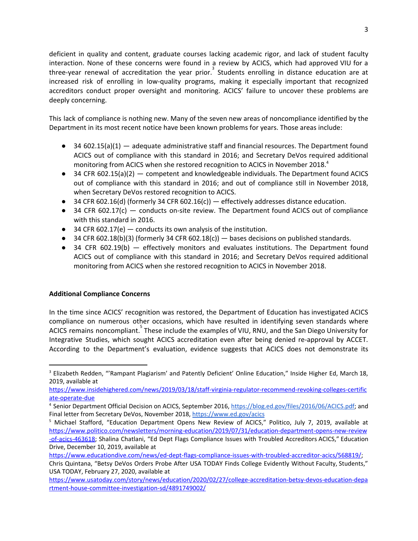deficient in quality and content, graduate courses lacking academic rigor, and lack of student faculty interaction. None of these concerns were found in a review by ACICS, which had approved VIU for a three-year renewal of accreditation the year prior.<sup>3</sup> Students enrolling in distance education are at increased risk of enrolling in low-quality programs, making it especially important that recognized accreditors conduct proper oversight and monitoring. ACICS' failure to uncover these problems are deeply concerning.

This lack of compliance is nothing new. Many of the seven new areas of noncompliance identified by the Department in its most recent notice have been known problems for years. Those areas include:

- 34 602.15(a)(1) adequate administrative staff and financial resources. The Department found ACICS out of compliance with this standard in 2016; and Secretary DeVos required additional monitoring from ACICS when she restored recognition to ACICS in November 2018.<sup>4</sup>
- $\bullet$  34 CFR 602.15(a)(2) competent and knowledgeable individuals. The Department found ACICS out of compliance with this standard in 2016; and out of compliance still in November 2018, when Secretary DeVos restored recognition to ACICS.
- 34 CFR 602.16(d) (formerly 34 CFR 602.16(c)) effectively addresses distance education.
- $\bullet$  34 CFR 602.17(c) conducts on-site review. The Department found ACICS out of compliance with this standard in 2016.
- $\bullet$  34 CFR 602.17(e) conducts its own analysis of the institution.
- 34 CFR 602.18(b)(3) (formerly 34 CFR 602.18(c)) bases decisions on published standards.
- 34 CFR 602.19(b) effectively monitors and evaluates institutions. The Department found ACICS out of compliance with this standard in 2016; and Secretary DeVos required additional monitoring from ACICS when she restored recognition to ACICS in November 2018.

# **Additional Compliance Concerns**

In the time since ACICS' recognition was restored, the Department of Education has investigated ACICS compliance on numerous other occasions, which have resulted in identifying seven standards where ACICS remains noncompliant. These include the examples of VIU, RNU, and the San Diego University for Integrative Studies, which sought ACICS accreditation even after being denied re-approval by ACCET. According to the Department's evaluation, evidence suggests that ACICS does not demonstrate its

<sup>&</sup>lt;sup>3</sup> Elizabeth Redden, "'Rampant Plagiarism' and Patently Deficient' Online Education," Inside Higher Ed, March 18, 2019, available at

[https://www.insidehighered.com/news/2019/03/18/staff-virginia-regulator-recommend-revoking-colleges-certific](https://www.insidehighered.com/news/2019/03/18/staff-virginia-regulator-recommend-revoking-colleges-certificate-operate-due) [ate-operate-due](https://www.insidehighered.com/news/2019/03/18/staff-virginia-regulator-recommend-revoking-colleges-certificate-operate-due)

<sup>4</sup> Senior Department Official Decision on ACICS, September 2016, [https://blog.ed.gov/files/2016/06/ACICS.pdf;](https://blog.ed.gov/files/2016/06/ACICS.pdf) and Final letter from Secretary DeVos, November 2018, <https://www.ed.gov/acics>

<sup>&</sup>lt;sup>5</sup> Michael Stafford, "Education Department Opens New Review of ACICS," Politico, July 7, 2019, available at [https://www.politico.com/newsletters/morning-education/2019/07/31/education-department-opens-new-review](https://www.politico.com/newsletters/morning-education/2019/07/31/education-department-opens-new-review-of-acics-463618) [-of-acics-463618;](https://www.politico.com/newsletters/morning-education/2019/07/31/education-department-opens-new-review-of-acics-463618) Shalina Chatlani, "Ed Dept Flags Compliance Issues with Troubled Accreditors ACICS," Education Drive, December 10, 2019, available at

[https://www.educationdive.com/news/ed-dept-flags-compliance-issues-with-troubled-accreditor-acics/568819/;](https://www.educationdive.com/news/ed-dept-flags-compliance-issues-with-troubled-accreditor-acics/568819/)

Chris Quintana, "Betsy DeVos Orders Probe After USA TODAY Finds College Evidently Without Faculty, Students," USA TODAY, February 27, 2020, available at

[https://www.usatoday.com/story/news/education/2020/02/27/college-accreditation-betsy-devos-education-depa](https://www.usatoday.com/story/news/education/2020/02/27/college-accreditation-betsy-devos-education-department-house-committee-investigation-sd/4891749002/) [rtment-house-committee-investigation-sd/4891749002/](https://www.usatoday.com/story/news/education/2020/02/27/college-accreditation-betsy-devos-education-department-house-committee-investigation-sd/4891749002/)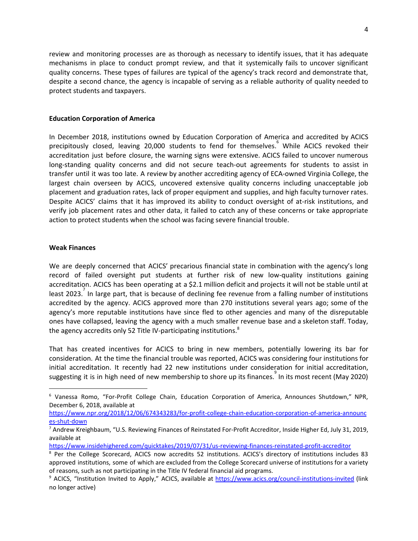review and monitoring processes are as thorough as necessary to identify issues, that it has adequate mechanisms in place to conduct prompt review, and that it systemically fails to uncover significant quality concerns. These types of failures are typical of the agency's track record and demonstrate that, despite a second chance, the agency is incapable of serving as a reliable authority of quality needed to protect students and taxpayers.

#### **Education Corporation of America**

In December 2018, institutions owned by Education Corporation of America and accredited by ACICS precipitously closed, leaving 20,000 students to fend for themselves. While ACICS revoked their accreditation just before closure, the warning signs were extensive. ACICS failed to uncover numerous long-standing quality concerns and did not secure teach-out agreements for students to assist in transfer until it was too late. A review by another accrediting agency of ECA-owned Virginia College, the largest chain overseen by ACICS, uncovered extensive quality concerns including unacceptable job placement and graduation rates, lack of proper equipment and supplies, and high faculty turnover rates. Despite ACICS' claims that it has improved its ability to conduct oversight of at-risk institutions, and verify job placement rates and other data, it failed to catch any of these concerns or take appropriate action to protect students when the school was facing severe financial trouble.

### **Weak Finances**

We are deeply concerned that ACICS' precarious financial state in combination with the agency's long record of failed oversight put students at further risk of new low-quality institutions gaining accreditation. ACICS has been operating at a \$2.1 million deficit and projects it will not be stable until at least 2023.<sup>7</sup> In large part, that is because of declining fee revenue from a falling number of institutions accredited by the agency. ACICS approved more than 270 institutions several years ago; some of the agency's more reputable institutions have since fled to other agencies and many of the disreputable ones have collapsed, leaving the agency with a much smaller revenue base and a skeleton staff. Today, the agency accredits only 52 Title IV-participating institutions.<sup>8</sup>

That has created incentives for ACICS to bring in new members, potentially lowering its bar for consideration. At the time the financial trouble was reported, ACICS was considering four institutions for initial accreditation. It recently had 22 new institutions under consideration for initial accreditation, suggesting it is in high need of new membership to shore up its finances. In its most recent (May 2020)

[https://www.npr.org/2018/12/06/674343283/for-profit-college-chain-education-corporation-of-america-announc](https://www.npr.org/2018/12/06/674343283/for-profit-college-chain-education-corporation-of-america-announces-shut-down) [es-shut-down](https://www.npr.org/2018/12/06/674343283/for-profit-college-chain-education-corporation-of-america-announces-shut-down)

<sup>6</sup> Vanessa Romo, "For-Profit College Chain, Education Corporation of America, Announces Shutdown," NPR, December 6, 2018, available at

<sup>&</sup>lt;sup>7</sup> Andrew Kreighbaum, "U.S. Reviewing Finances of Reinstated For-Profit Accreditor, Inside Higher Ed, July 31, 2019, available at

<https://www.insidehighered.com/quicktakes/2019/07/31/us-reviewing-finances-reinstated-profit-accreditor>

<sup>&</sup>lt;sup>8</sup> Per the College Scorecard, ACICS now accredits 52 institutions. ACICS's directory of institutions includes 83 approved institutions, some of which are excluded from the College Scorecard universe of institutions for a variety of reasons, such as not participating in the Title IV federal financial aid programs.

<sup>&</sup>lt;sup>9</sup> ACICS, "Institution Invited to Apply," ACICS, available at <https://www.acics.org/council-institutions-invited> (link no longer active)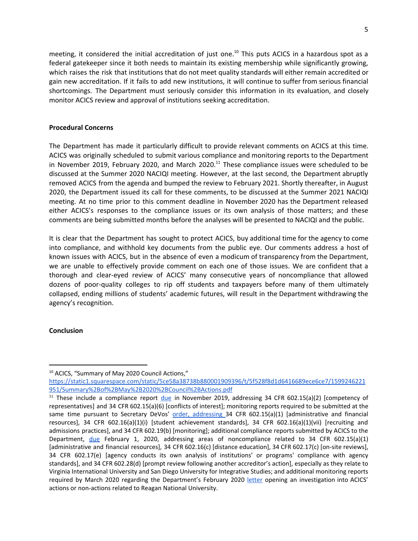meeting, it considered the initial accreditation of just one.<sup>10</sup> This puts ACICS in a hazardous spot as a federal gatekeeper since it both needs to maintain its existing membership while significantly growing, which raises the risk that institutions that do not meet quality standards will either remain accredited or gain new accreditation. If it fails to add new institutions, it will continue to suffer from serious financial shortcomings. The Department must seriously consider this information in its evaluation, and closely monitor ACICS review and approval of institutions seeking accreditation.

### **Procedural Concerns**

The Department has made it particularly difficult to provide relevant comments on ACICS at this time. ACICS was originally scheduled to submit various compliance and monitoring reports to the Department in November 2019, February 2020, and March 2020. $^{11}$  These compliance issues were scheduled to be discussed at the Summer 2020 NACIQI meeting. However, at the last second, the Department abruptly removed ACICS from the agenda and bumped the review to February 2021. Shortly thereafter, in August 2020, the Department issued its call for these comments, to be discussed at the Summer 2021 NACIQI meeting. At no time prior to this comment deadline in November 2020 has the Department released either ACICS's responses to the compliance issues or its own analysis of those matters; and these comments are being submitted months before the analyses will be presented to NACIQI and the public.

It is clear that the Department has sought to protect ACICS, buy additional time for the agency to come into compliance, and withhold key documents from the public eye. Our comments address a host of known issues with ACICS, but in the absence of even a modicum of transparency from the Department, we are unable to effectively provide comment on each one of those issues. We are confident that a thorough and clear-eyed review of ACICS' many consecutive years of noncompliance that allowed dozens of poor-quality colleges to rip off students and taxpayers before many of them ultimately collapsed, ending millions of students' academic futures, will result in the Department withdrawing the agency's recognition.

### **Conclusion**

<sup>&</sup>lt;sup>10</sup> ACICS, "Summary of May 2020 Council Actions,"

[https://static1.squarespace.com/static/5ce58a38738b880001909396/t/5f528f8d1d6416689ece6ce7/1599246221](https://static1.squarespace.com/static/5ce58a38738b880001909396/t/5f528f8d1d6416689ece6ce7/1599246221951/Summary%2Bof%2BMay%2B2020%2BCouncil%2BActions.pdf) [951/Summary%2Bof%2BMay%2B2020%2BCouncil%2BActions.pdf](https://static1.squarespace.com/static/5ce58a38738b880001909396/t/5f528f8d1d6416689ece6ce7/1599246221951/Summary%2Bof%2BMay%2B2020%2BCouncil%2BActions.pdf)

<sup>&</sup>lt;sup>11</sup> These include a compliance report  $due$  $due$  $due$  in November 2019, addressing 34 CFR 602.15(a)(2) [competency of</u> representatives] and 34 CFR 602.15(a)(6) [conflicts of interest]; monitoring reports required to be submitted at the same time pursuant to Secretary DeVos' order, [addressing](https://www.insidehighered.com/sites/default/server_files/media/ACICS%20FAD%2011.21.2018.pdf) 34 CFR 602.15(a)(1) [administrative and financial resources], 34 CFR 602.16(a)(1)(i) [student achievement standards], 34 CFR 602.16(a)(1)(vii) [recruiting and admissions practices], and 34 CFR 602.19(b) [monitoring]; additional compliance reports submitted by ACICS to the Department, [due](https://www.documentcloud.org/documents/6572673-2019-11-21-Letter-From-ED-to-ACICS.html) February 1, 2020, addressing areas of noncompliance related to 34 CFR 602.15(a)(1) [administrative and financial resources], 34 CFR 602.16(c) [distance education], 34 CFR 602.17(c) [on-site reviews], 34 CFR 602.17(e) [agency conducts its own analysis of institutions' or programs' compliance with agency standards], and 34 CFR 602.28(d) [prompt review following another accreditor's action], especially as they relate to Virginia International University and San Diego University for Integrative Studies; and additional monitoring reports required by March 2020 regarding the Department's February 2020 [letter](https://www.documentcloud.org/documents/6789634-Education-Dept-Letter-to-ACICS.html) opening an investigation into ACICS' actions or non-actions related to Reagan National University.